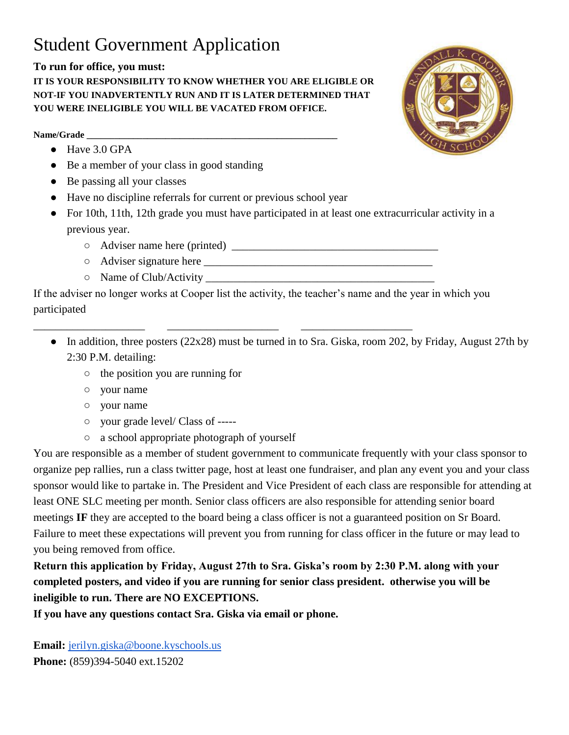## Student Government Application

## **To run for office, you must:**

**IT IS YOUR RESPONSIBILITY TO KNOW WHETHER YOU ARE ELIGIBLE OR NOT-IF YOU INADVERTENTLY RUN AND IT IS LATER DETERMINED THAT YOU WERE INELIGIBLE YOU WILL BE VACATED FROM OFFICE.**

## Name/Grade

- Have 3.0 GPA
- Be a member of your class in good standing
- Be passing all your classes
- Have no discipline referrals for current or previous school year
- For 10th, 11th, 12th grade you must have participated in at least one extracurricular activity in a previous year.
	- $\circ$  Adviser name here (printed)

\_\_\_\_\_\_\_\_\_\_\_\_\_\_\_\_\_\_\_\_ \_\_\_\_\_\_\_\_\_\_\_\_\_\_\_\_\_\_\_\_ \_\_\_\_\_\_\_\_\_\_\_\_\_\_\_\_\_\_\_\_

- Adviser signature here \_\_\_\_\_\_\_\_\_\_\_\_\_\_\_\_\_\_\_\_\_\_\_\_\_\_\_\_\_\_\_\_\_\_\_\_\_\_\_\_\_
- Name of Club/Activity \_\_\_\_\_\_\_\_\_\_\_\_\_\_\_\_\_\_\_\_\_\_\_\_\_\_\_\_\_\_\_\_\_\_\_\_\_\_\_\_\_

If the adviser no longer works at Cooper list the activity, the teacher's name and the year in which you participated

- In addition, three posters (22x28) must be turned in to Sra. Giska, room 202, by Friday, August 27th by 2:30 P.M. detailing:
	- the position you are running for
	- your name
	- your name
	- your grade level/ Class of -----
	- a school appropriate photograph of yourself

You are responsible as a member of student government to communicate frequently with your class sponsor to organize pep rallies, run a class twitter page, host at least one fundraiser, and plan any event you and your class sponsor would like to partake in. The President and Vice President of each class are responsible for attending at least ONE SLC meeting per month. Senior class officers are also responsible for attending senior board meetings **IF** they are accepted to the board being a class officer is not a guaranteed position on Sr Board. Failure to meet these expectations will prevent you from running for class officer in the future or may lead to you being removed from office.

**Return this application by Friday, August 27th to Sra. Giska's room by 2:30 P.M. along with your completed posters, and video if you are running for senior class president. otherwise you will be ineligible to run. There are NO EXCEPTIONS.**

**If you have any questions contact Sra. Giska via email or phone.**

**Email:** [jerilyn.giska@boone.kyschools.us](mailto:jeri.giska@boone.kyschools.us) **Phone:** (859)394-5040 ext.15202